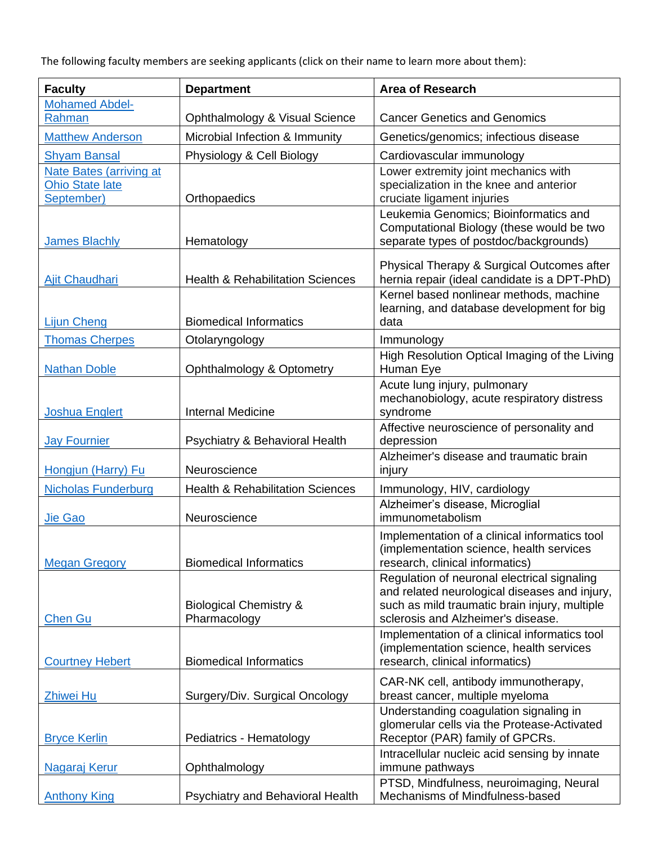The following faculty members are seeking applicants (click on their name to learn more about them):

| <b>Faculty</b>                       | <b>Department</b>                                 | <b>Area of Research</b>                                                                   |
|--------------------------------------|---------------------------------------------------|-------------------------------------------------------------------------------------------|
| <b>Mohamed Abdel-</b>                |                                                   |                                                                                           |
| Rahman                               | Ophthalmology & Visual Science                    | <b>Cancer Genetics and Genomics</b>                                                       |
| <b>Matthew Anderson</b>              | Microbial Infection & Immunity                    | Genetics/genomics; infectious disease                                                     |
| <b>Shyam Bansal</b>                  | Physiology & Cell Biology                         | Cardiovascular immunology                                                                 |
| <b>Nate Bates (arriving at</b>       |                                                   | Lower extremity joint mechanics with                                                      |
| <b>Ohio State late</b><br>September) | Orthopaedics                                      | specialization in the knee and anterior<br>cruciate ligament injuries                     |
|                                      |                                                   | Leukemia Genomics; Bioinformatics and                                                     |
|                                      |                                                   | Computational Biology (these would be two                                                 |
| <b>James Blachly</b>                 | Hematology                                        | separate types of postdoc/backgrounds)                                                    |
|                                      |                                                   | Physical Therapy & Surgical Outcomes after                                                |
| Ajit Chaudhari                       | <b>Health &amp; Rehabilitation Sciences</b>       | hernia repair (ideal candidate is a DPT-PhD)                                              |
|                                      |                                                   | Kernel based nonlinear methods, machine                                                   |
| <b>Lijun Cheng</b>                   | <b>Biomedical Informatics</b>                     | learning, and database development for big<br>data                                        |
|                                      |                                                   |                                                                                           |
| <b>Thomas Cherpes</b>                | Otolaryngology                                    | Immunology<br>High Resolution Optical Imaging of the Living                               |
| <b>Nathan Doble</b>                  | Ophthalmology & Optometry                         | Human Eye                                                                                 |
|                                      |                                                   | Acute lung injury, pulmonary                                                              |
|                                      |                                                   | mechanobiology, acute respiratory distress                                                |
| <b>Joshua Englert</b>                | <b>Internal Medicine</b>                          | syndrome                                                                                  |
| <b>Jay Fournier</b>                  | Psychiatry & Behavioral Health                    | Affective neuroscience of personality and<br>depression                                   |
|                                      |                                                   | Alzheimer's disease and traumatic brain                                                   |
| Hongjun (Harry) Fu                   | Neuroscience                                      | injury                                                                                    |
| <b>Nicholas Funderburg</b>           | <b>Health &amp; Rehabilitation Sciences</b>       | Immunology, HIV, cardiology                                                               |
|                                      |                                                   | Alzheimer's disease, Microglial                                                           |
| Jie Gao                              | Neuroscience                                      | immunometabolism                                                                          |
|                                      |                                                   | Implementation of a clinical informatics tool<br>(implementation science, health services |
| <b>Megan Gregory</b>                 | <b>Biomedical Informatics</b>                     | research, clinical informatics)                                                           |
|                                      |                                                   | Regulation of neuronal electrical signaling                                               |
|                                      |                                                   | and related neurological diseases and injury,                                             |
| <b>Chen Gu</b>                       | <b>Biological Chemistry &amp;</b><br>Pharmacology | such as mild traumatic brain injury, multiple<br>sclerosis and Alzheimer's disease.       |
|                                      |                                                   | Implementation of a clinical informatics tool                                             |
|                                      |                                                   | (implementation science, health services                                                  |
| <b>Courtney Hebert</b>               | <b>Biomedical Informatics</b>                     | research, clinical informatics)                                                           |
|                                      |                                                   | CAR-NK cell, antibody immunotherapy,                                                      |
| Zhiwei Hu                            | Surgery/Div. Surgical Oncology                    | breast cancer, multiple myeloma                                                           |
|                                      |                                                   | Understanding coagulation signaling in<br>glomerular cells via the Protease-Activated     |
| <b>Bryce Kerlin</b>                  | Pediatrics - Hematology                           | Receptor (PAR) family of GPCRs.                                                           |
|                                      |                                                   | Intracellular nucleic acid sensing by innate                                              |
|                                      | Ophthalmology                                     | immune pathways                                                                           |
| <b>Anthony King</b>                  | Psychiatry and Behavioral Health                  | Mechanisms of Mindfulness-based                                                           |
| Nagaraj Kerur                        |                                                   | PTSD, Mindfulness, neuroimaging, Neural                                                   |